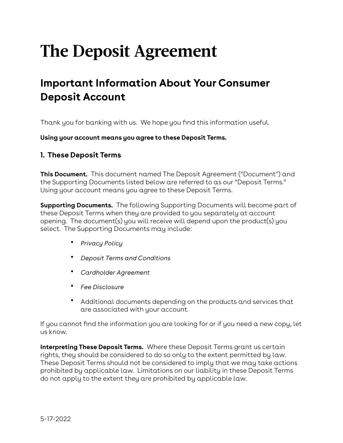# **The Deposit Agreement**

# **Important Information About Your Consumer Deposit Account**

Thank you for banking with us. We hope you find this information useful.

**Using your account means you agree to these Deposit Terms.**

#### **1. These Deposit Terms**

**This Document.** This document named The Deposit Agreement ("Document") and the Supporting Documents listed below are referred to as our "Deposit Terms." Using your account means you agree to these Deposit Terms.

**Supporting Documents.** The following Supporting Documents will become part of these Deposit Terms when they are provided to you separately at account opening. The document(s) you will receive will depend upon the product(s) you select. The Supporting Documents may include:

- *Privacy Policy*
- *Deposit Terms and Conditions*
- *Cardholder Agreement*
- *Fee Disclosure*
- Additional documents depending on the products and services that are associated with your account.

If you cannot find the information you are looking for or if you need a new copy, let us know.

**Interpreting These Deposit Terms.** Where these Deposit Terms grant us certain rights, they should be considered to do so only to the extent permitted by law. These Deposit Terms should not be considered to imply that we may take actions prohibited by applicable law. Limitations on our liability in these Deposit Terms do not apply to the extent they are prohibited by applicable law.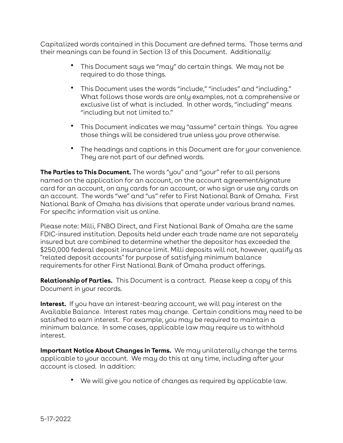Capitalized words contained in this Document are defined terms. Those terms and their meanings can be found in Section 13 of this Document. Additionally:

- This Document says we "may" do certain things. We may not be required to do those things.
- This Document uses the words "include," "includes" and "including." What follows those words are only examples, not a comprehensive or exclusive list of what is included. In other words, "including" means "including but not limited to."
- This Document indicates we may "assume" certain things. You agree those things will be considered true unless you prove otherwise.
- The headings and captions in this Document are for your convenience. They are not part of our defined words.

**The Parties to This Document.** The words "you" and "your" refer to all persons named on the application for an account, on the account agreement/signature card for an account, on any cards for an account, or who sign or use any cards on an account. The words "we" and "us" refer to First National Bank of Omaha. First National Bank of Omaha has divisions that operate under various brand names. For specific information visit us online.

Please note: Milli, FNBO Direct, and First National Bank of Omaha are the same FDIC-insured institution. Deposits held under each trade name are not separately insured but are combined to determine whether the depositor has exceeded the \$250,000 federal deposit insurance limit. Milli deposits will not, however, qualify as "related deposit accounts" for purpose of satisfying minimum balance requirements for other First National Bank of Omaha product offerings.

**Relationship of Parties.** This Document is a contract. Please keep a copy of this Document in your records.

**Interest.** If you have an interest-bearing account, we will pay interest on the Available Balance. Interest rates may change. Certain conditions may need to be satisfied to earn interest. For example, you may be required to maintain a minimum balance. In some cases, applicable law may require us to withhold interest.

**Important Notice About Changes in Terms.** We may unilaterally change the terms applicable to your account. We may do this at any time, including after your account is closed. In addition:

• We will give you notice of changes as required by applicable law.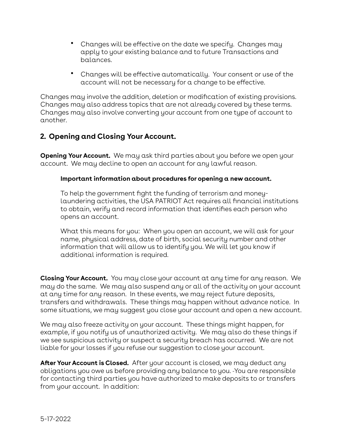- Changes will be effective on the date we specify. Changes may apply to your existing balance and to future Transactions and balances.
- Changes will be effective automatically. Your consent or use of the account will not be necessary for a change to be effective.

Changes may involve the addition, deletion or modification of existing provisions. Changes may also address topics that are not already covered by these terms. Changes may also involve converting your account from one type of account to another.

# **2. Opening and Closing Your Account.**

**Opening Your Account.** We may ask third parties about you before we open your account. We may decline to open an account for any lawful reason.

#### **Important information about procedures for opening a new account.**

To help the government fight the funding of terrorism and moneylaundering activities, the USA PATRIOT Act requires all financial institutions to obtain, verify and record information that identifies each person who opens an account.

What this means for you: When you open an account, we will ask for your name, physical address, date of birth, social security number and other information that will allow us to identify you. We will let you know if additional information is required.

**Closing Your Account.** You may close your account at any time for any reason. We may do the same. We may also suspend any or all of the activity on your account at any time for any reason. In these events, we may reject future deposits, transfers and withdrawals. These things may happen without advance notice. In some situations, we may suggest you close your account and open a new account.

We may also freeze activity on your account. These things might happen, for example, if you notify us of unauthorized activity. We may also do these things if we see suspicious activity or suspect a security breach has occurred. We are not liable for your losses if you refuse our suggestion to close your account.

**After Your Account is Closed.** After your account is closed, we may deduct any obligations you owe us before providing any balance to you. You are responsible for contacting third parties you have authorized to make deposits to or transfers from your account. In addition: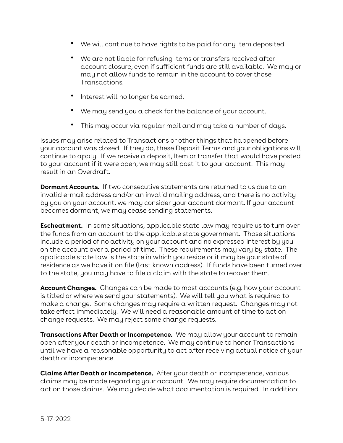- We will continue to have rights to be paid for any Item deposited.
- We are not liable for refusing Items or transfers received after account closure, even if sufficient funds are still available. We may or may not allow funds to remain in the account to cover those Transactions.
- Interest will no longer be earned.
- We may send you a check for the balance of your account.
- This may occur via regular mail and may take a number of days.

Issues may arise related to Transactions or other things that happened before your account was closed. If they do, these Deposit Terms and your obligations will continue to apply. If we receive a deposit, Item or transfer that would have posted to your account if it were open, we may still post it to your account. This may result in an Overdraft.

**Dormant Accounts.** If two consecutive statements are returned to us due to an invalid e-mail address and/or an invalid mailing address, and there is no activity by you on your account, we may consider your account dormant. If your account becomes dormant, we may cease sending statements.

**Escheatment.** In some situations, applicable state law may require us to turn over the funds from an account to the applicable state government. Those situations include a period of no activity on your account and no expressed interest by you on the account over a period of time. These requirements may vary by state. The applicable state law is the state in which you reside or it may be your state of residence as we have it on file (last known address). If funds have been turned over to the state, you may have to file a claim with the state to recover them.

**Account Changes.** Changes can be made to most accounts (e.g. how your account is titled or where we send your statements). We will tell you what is required to make a change. Some changes may require a written request. Changes may not take effect immediately. We will need a reasonable amount of time to act on change requests. We may reject some change requests.

**Transactions After Death or Incompetence.** We may allow your account to remain open after your death or incompetence. We may continue to honor Transactions until we have a reasonable opportunity to act after receiving actual notice of your death or incompetence.

**Claims After Death or Incompetence.** After your death or incompetence, various claims may be made regarding your account. We may require documentation to act on those claims. We may decide what documentation is required. In addition: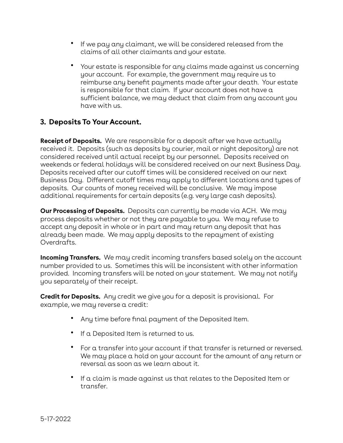- If we pay any claimant, we will be considered released from the claims of all other claimants and your estate.
- Your estate is responsible for any claims made against us concerning your account. For example, the government may require us to reimburse any benefit payments made after your death. Your estate is responsible for that claim. If your account does not have a sufficient balance, we may deduct that claim from any account you have with us.

# **3. Deposits To Your Account.**

**Receipt of Deposits.** We are responsible for a deposit after we have actually received it. Deposits (such as deposits by courier, mail or night depository) are not considered received until actual receipt by our personnel. Deposits received on weekends or federal holidays will be considered received on our next Business Day. Deposits received after our cutoff times will be considered received on our next Business Day. Different cutoff times may apply to different locations and types of deposits. Our counts of money received will be conclusive. We may impose additional requirements for certain deposits (e.g. very large cash deposits).

**Our Processing of Deposits.** Deposits can currently be made via ACH. We may process deposits whether or not they are payable to you. We may refuse to accept any deposit in whole or in part and may return any deposit that has already been made. We may apply deposits to the repayment of existing Overdrafts.

**Incoming Transfers.** We may credit incoming transfers based solely on the account number provided to us. Sometimes this will be inconsistent with other information provided. Incoming transfers will be noted on your statement. We may not notify you separately of their receipt.

**Credit for Deposits.** Any credit we give you for a deposit is provisional. For example, we may reverse a credit:

- Any time before final payment of the Deposited Item.
- If a Deposited Item is returned to us.
- For a transfer into your account if that transfer is returned or reversed. We may place a hold on your account for the amount of any return or reversal as soon as we learn about it.
- If a claim is made against us that relates to the Deposited Item or transfer.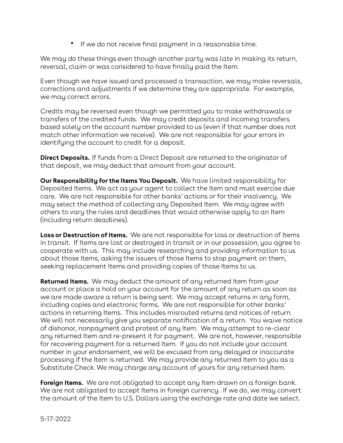• If we do not receive final payment in a reasonable time.

We may do these things even though another party was late in making its return, reversal, claim or was considered to have finally paid the Item.

Even though we have issued and processed a transaction, we may make reversals, corrections and adjustments if we determine they are appropriate. For example, we may correct errors.

Credits may be reversed even though we permitted you to make withdrawals or transfers of the credited funds. We may credit deposits and incoming transfers based solely on the account number provided to us (even if that number does not match other information we receive). We are not responsible for your errors in identifying the account to credit for a deposit.

**Direct Deposits.** If funds from a Direct Deposit are returned to the originator of that deposit, we may deduct that amount from your account.

**Our Responsibility for the Items You Deposit.** We have limited responsibility for Deposited Items. We act as your agent to collect the Item and must exercise due care. We are not responsible for other banks' actions or for their insolvency. We may select the method of collecting any Deposited Item. We may agree with others to vary the rules and deadlines that would otherwise apply to an Item (including return deadlines).

**Loss or Destruction of Items.** We are not responsible for loss or destruction of Items in transit. If Items are lost or destroyed in transit or in our possession, you agree to cooperate with us. This may include researching and providing information to us about those Items, asking the issuers of those Items to stop payment on them, seeking replacement Items and providing copies of those Items to us.

**Returned Items.** We may deduct the amount of any returned Item from your account or place a hold on your account for the amount of any return as soon as we are made aware a return is being sent. We may accept returns in any form, including copies and electronic forms. We are not responsible for other banks' actions in returning Items. This includes misrouted returns and notices of return. We will not necessarily give you separate notification of a return. You waive notice of dishonor, nonpayment and protest of any Item. We may attempt to re-clear any returned Item and re-present it for payment. We are not, however, responsible for recovering payment for a returned Item. If you do not include your account number in your endorsement, we will be excused from any delayed or inaccurate processing if the Item is returned. We may provide any returned Item to you as a Substitute Check. We may charge any account of yours for any returned Item.

**Foreign Items.** We are not obligated to accept any Item drawn on a foreign bank. We are not obligated to accept Items in foreign currency. If we do, we may convert the amount of the Item to U.S. Dollars using the exchange rate and date we select.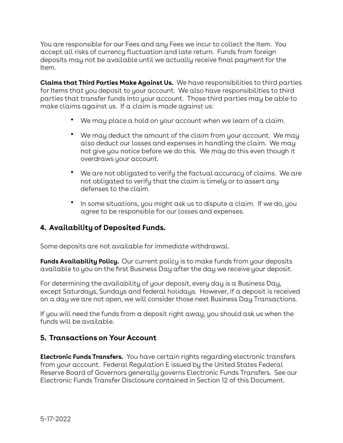You are responsible for our Fees and any Fees we incur to collect the Item. You accept all risks of currency fluctuation and late return. Funds from foreign deposits may not be available until we actually receive final payment for the Item.

**Claims that Third Parties Make Against Us.** We have responsibilities to third parties for Items that you deposit to your account. We also have responsibilities to third parties that transfer funds into your account. Those third parties may be able to make claims against us. If a claim is made against us:

- We may place a hold on your account when we learn of a claim.
- We may deduct the amount of the claim from your account. We may also deduct our losses and expenses in handling the claim. We may not give you notice before we do this. We may do this even though it overdraws your account.
- We are not obligated to verify the factual accuracy of claims. We are not obligated to verify that the claim is timely or to assert any defenses to the claim.
- In some situations, you might ask us to dispute a claim. If we do, you agree to be responsible for our losses and expenses.

# **4. Availability of Deposited Funds.**

Some deposits are not available for immediate withdrawal.

**Funds Availability Policy.** Our current policy is to make funds from your deposits available to you on the first Business Day after the day we receive your deposit.

For determining the availability of your deposit, every day is a Business Day, except Saturdays, Sundays and federal holidays. However, if a deposit is received on a day we are not open, we will consider those next Business Day Transactions.

If you will need the funds from a deposit right away, you should ask us when the funds will be available.

## **5. Transactions on Your Account**

**Electronic Funds Transfers.** You have certain rights regarding electronic transfers from your account. Federal Regulation E issued by the United States Federal Reserve Board of Governors generally governs Electronic Funds Transfers. See our Electronic Funds Transfer Disclosure contained in Section 12 of this Document.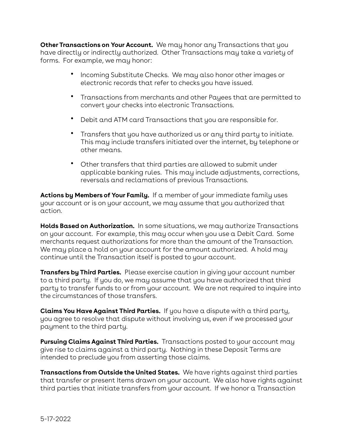**Other Transactions on Your Account.** We may honor any Transactions that you have directly or indirectly authorized. Other Transactions may take a variety of forms. For example, we may honor:

- Incoming Substitute Checks. We may also honor other images or electronic records that refer to checks you have issued.
- Transactions from merchants and other Payees that are permitted to convert your checks into electronic Transactions.
- Debit and ATM card Transactions that you are responsible for.
- Transfers that you have authorized us or any third party to initiate. This may include transfers initiated over the internet, by telephone or other means.
- Other transfers that third parties are allowed to submit under applicable banking rules. This may include adjustments, corrections, reversals and reclamations of previous Transactions.

**Actions by Members of Your Family.** If a member of your immediate family uses your account or is on your account, we may assume that you authorized that action.

**Holds Based on Authorization.** In some situations, we may authorize Transactions on your account. For example, this may occur when you use a Debit Card. Some merchants request authorizations for more than the amount of the Transaction. We may place a hold on your account for the amount authorized. A hold may continue until the Transaction itself is posted to your account.

**Transfers by Third Parties.** Please exercise caution in giving your account number to a third party. If you do, we may assume that you have authorized that third party to transfer funds to or from your account. We are not required to inquire into the circumstances of those transfers.

**Claims You Have Against Third Parties.** If you have a dispute with a third party, you agree to resolve that dispute without involving us, even if we processed your payment to the third party.

**Pursuing Claims Against Third Parties.** Transactions posted to your account may give rise to claims against a third party. Nothing in these Deposit Terms are intended to preclude you from asserting those claims.

**Transactions from Outside the United States.** We have rights against third parties that transfer or present Items drawn on your account. We also have rights against third parties that initiate transfers from your account. If we honor a Transaction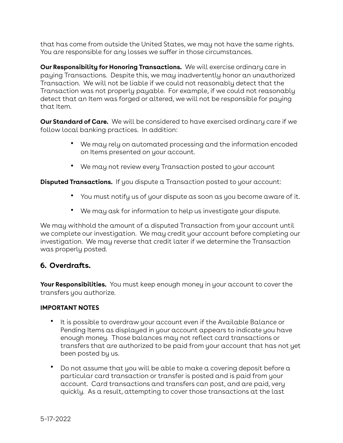that has come from outside the United States, we may not have the same rights. You are responsible for any losses we suffer in those circumstances.

**Our Responsibility for Honoring Transactions.** We will exercise ordinary care in paying Transactions. Despite this, we may inadvertently honor an unauthorized Transaction. We will not be liable if we could not reasonably detect that the Transaction was not properly payable. For example, if we could not reasonably detect that an Item was forged or altered, we will not be responsible for paying that Item.

**Our Standard of Care.** We will be considered to have exercised ordinary care if we follow local banking practices. In addition:

- We may rely on automated processing and the information encoded on Items presented on your account.
- We may not review every Transaction posted to your account

**Disputed Transactions.** If you dispute a Transaction posted to your account:

- You must notify us of your dispute as soon as you become aware of it.
- We may ask for information to help us investigate your dispute.

We may withhold the amount of a disputed Transaction from your account until we complete our investigation. We may credit your account before completing our investigation. We may reverse that credit later if we determine the Transaction was properly posted.

# **6. Overdrafts.**

**Your Responsibilities.** You must keep enough money in your account to cover the transfers you authorize.

#### **IMPORTANT NOTES**

- It is possible to overdraw your account even if the Available Balance or Pending Items as displayed in your account appears to indicate you have enough money. Those balances may not reflect card transactions or transfers that are authorized to be paid from your account that has not yet been posted by us.
- Do not assume that you will be able to make a covering deposit before a particular card transaction or transfer is posted and is paid from your account. Card transactions and transfers can post, and are paid, very quickly. As a result, attempting to cover those transactions at the last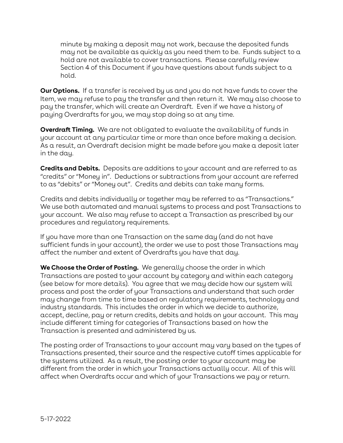minute by making a deposit may not work, because the deposited funds may not be available as quickly as you need them to be. Funds subject to a hold are not available to cover transactions. Please carefully review Section 4 of this Document if you have questions about funds subject to a hold.

**Our Options.** If a transfer is received by us and you do not have funds to cover the Item, we may refuse to pay the transfer and then return it. We may also choose to pay the transfer, which will create an Overdraft. Even if we have a history of paying Overdrafts for you, we may stop doing so at any time.

**Overdraft Timing.** We are not obligated to evaluate the availability of funds in your account at any particular time or more than once before making a decision. As a result, an Overdraft decision might be made before you make a deposit later in the day.

**Credits and Debits.** Deposits are additions to your account and are referred to as "credits" or "Money in". Deductions or subtractions from your account are referred to as "debits" or "Money out". Credits and debits can take many forms.

Credits and debits individually or together may be referred to as "Transactions." We use both automated and manual systems to process and post Transactions to your account. We also may refuse to accept a Transaction as prescribed by our procedures and regulatory requirements.

If you have more than one Transaction on the same day (and do not have sufficient funds in your account), the order we use to post those Transactions may affect the number and extent of Overdrafts you have that day.

**We Choose the Order of Posting.** We generally choose the order in which Transactions are posted to your account by category and within each category (see below for more details). You agree that we may decide how our system will process and post the order of your Transactions and understand that such order may change from time to time based on regulatory requirements, technology and industry standards. This includes the order in which we decide to authorize, accept, decline, pay or return credits, debits and holds on your account. This may include different timing for categories of Transactions based on how the Transaction is presented and administered by us.

The posting order of Transactions to your account may vary based on the types of Transactions presented, their source and the respective cutoff times applicable for the systems utilized. As a result, the posting order to your account may be different from the order in which your Transactions actually occur. All of this will affect when Overdrafts occur and which of your Transactions we pay or return.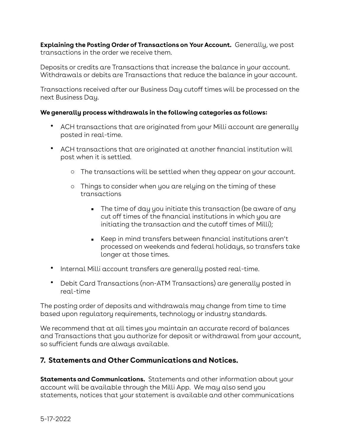**Explaining the Posting Order of Transactions on Your Account.** Generally, we post transactions in the order we receive them.

Deposits or credits are Transactions that increase the balance in your account. Withdrawals or debits are Transactions that reduce the balance in your account.

Transactions received after our Business Day cutoff times will be processed on the next Business Day.

#### **We generally process withdrawals in the following categories as follows:**

- ACH transactions that are originated from your Milli account are generally posted in real-time.
- ACH transactions that are originated at another financial institution will post when it is settled.
	- o The transactions will be settled when they appear on your account.
	- o Things to consider when you are relying on the timing of these transactions
		- $\blacksquare$  The time of day you initiate this transaction (be aware of any cut off times of the financial institutions in which you are initiating the transaction and the cutoff times of Milli);
		- Keep in mind transfers between financial institutions aren't processed on weekends and federal holidays, so transfers take longer at those times.
- Internal Milli account transfers are generally posted real-time.
- Debit Card Transactions (non-ATM Transactions) are generally posted in real-time

The posting order of deposits and withdrawals may change from time to time based upon regulatory requirements, technology or industry standards.

We recommend that at all times you maintain an accurate record of balances and Transactions that you authorize for deposit or withdrawal from your account, so sufficient funds are always available.

# **7. Statements and Other Communications and Notices.**

**Statements and Communications.** Statements and other information about your account will be available through the Milli App. We may also send you statements, notices that your statement is available and other communications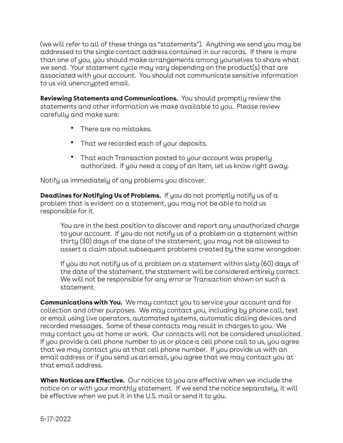(we will refer to all of these things as "statements"). Anything we send you may be addressed to the single contact address contained in our records. If there is more than one of you, you should make arrangements among yourselves to share what we send. Your statement cycle may vary depending on the product(s) that are associated with your account. You should not communicate sensitive information to us via unencrypted email.

**Reviewing Statements and Communications.** You should promptly review the statements and other information we make available to you. Please review carefully and make sure:

- There are no mistakes.
- That we recorded each of your deposits.
- That each Transaction posted to your account was properly authorized. If you need a copy of an Item, let us know right away.

Notify us immediately of any problems you discover.

**Deadlines for Notifying Us of Problems.** If you do not promptly notify us of a problem that is evident on a statement, you may not be able to hold us responsible for it.

You are in the best position to discover and report any unauthorized charge to your account. If you do not notify us of a problem on a statement within thirty (30) days of the date of the statement, you may not be allowed to assert a claim about subsequent problems created by the same wrongdoer.

If you do not notify us of a problem on a statement within sixty (60) days of the date of the statement, the statement will be considered entirely correct. We will not be responsible for any error or Transaction shown on such a statement.

**Communications with You.** We may contact you to service your account and for collection and other purposes. We may contact you, including by phone call, text or email using live operators, automated systems, automatic dialing devices and recorded messages. Some of these contacts may result in charges to you. We may contact you at home or work. Our contacts will not be considered unsolicited. If you provide a cell phone number to us or place a cell phone call to us, you agree that we may contact you at that cell phone number. If you provide us with an email address or if you send us an email, you agree that we may contact you at that email address.

**When Notices are Effective.** Our notices to you are effective when we include the notice on or with your monthly statement. If we send the notice separately, it will be effective when we put it in the U.S. mail or send it to you.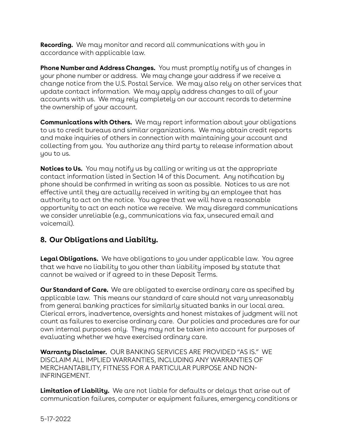**Recording.** We may monitor and record all communications with you in accordance with applicable law.

**Phone Number and Address Changes.** You must promptly notify us of changes in your phone number or address. We may change your address if we receive a change notice from the U.S. Postal Service. We may also rely on other services that update contact information. We may apply address changes to all of your accounts with us. We may rely completely on our account records to determine the ownership of your account.

**Communications with Others.** We may report information about your obligations to us to credit bureaus and similar organizations. We may obtain credit reports and make inquiries of others in connection with maintaining your account and collecting from you. You authorize any third party to release information about you to us.

**Notices to Us.** You may notify us by calling or writing us at the appropriate contact information listed in Section 14 of this Document. Any notification by phone should be confirmed in writing as soon as possible. Notices to us are not effective until they are actually received in writing by an employee that has authority to act on the notice. You agree that we will have a reasonable opportunity to act on each notice we receive. We may disregard communications we consider unreliable (e.g., communications via fax, unsecured email and voicemail).

# **8. Our Obligations and Liability.**

**Legal Obligations.** We have obligations to you under applicable law. You agree that we have no liability to you other than liability imposed by statute that cannot be waived or if agreed to in these Deposit Terms.

**Our Standard of Care.** We are obligated to exercise ordinary care as specified by applicable law. This means our standard of care should not vary unreasonably from general banking practices for similarly situated banks in our local area. Clerical errors, inadvertence, oversights and honest mistakes of judgment will not count as failures to exercise ordinary care. Our policies and procedures are for our own internal purposes only. They may not be taken into account for purposes of evaluating whether we have exercised ordinary care.

**Warranty Disclaimer.** OUR BANKING SERVICES ARE PROVIDED "AS IS." WE DISCLAIM ALL IMPLIED WARRANTIES, INCLUDING ANY WARRANTIES OF MERCHANTABILITY, FITNESS FOR A PARTICULAR PURPOSE AND NON-INFRINGEMENT.

**Limitation of Liability.** We are not liable for defaults or delays that arise out of communication failures, computer or equipment failures, emergency conditions or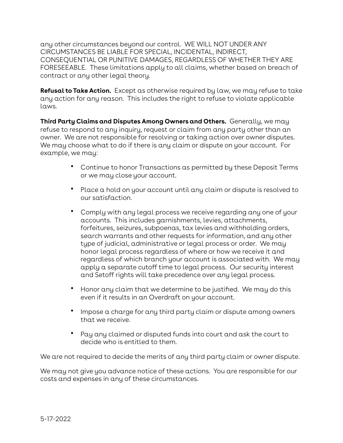any other circumstances beyond our control. WE WILL NOT UNDER ANY CIRCUMSTANCES BE LIABLE FOR SPECIAL, INCIDENTAL, INDIRECT, CONSEQUENTIAL OR PUNITIVE DAMAGES, REGARDLESS OF WHETHER THEY ARE FORESEEABLE. These limitations apply to all claims, whether based on breach of contract or any other legal theory.

**Refusal to Take Action.** Except as otherwise required by law, we may refuse to take any action for any reason. This includes the right to refuse to violate applicable laws.

**Third Party Claims and Disputes Among Owners and Others.** Generally, we may refuse to respond to any inquiry, request or claim from any party other than an owner. We are not responsible for resolving or taking action over owner disputes. We may choose what to do if there is any claim or dispute on your account. For example, we may:

- Continue to honor Transactions as permitted by these Deposit Terms or we may close your account.
- Place a hold on your account until any claim or dispute is resolved to our satisfaction.
- Comply with any legal process we receive regarding any one of your accounts. This includes garnishments, levies, attachments, forfeitures, seizures, subpoenas, tax levies and withholding orders, search warrants and other requests for information, and any other type of judicial, administrative or legal process or order. We may honor legal process regardless of where or how we receive it and regardless of which branch your account is associated with. We may apply a separate cutoff time to legal process. Our security interest and Setoff rights will take precedence over any legal process.
- Honor any claim that we determine to be justified. We may do this even if it results in an Overdraft on your account.
- Impose a charge for any third party claim or dispute among owners that we receive.
- Pay any claimed or disputed funds into court and ask the court to decide who is entitled to them.

We are not required to decide the merits of any third party claim or owner dispute.

We may not give you advance notice of these actions. You are responsible for our costs and expenses in any of these circumstances.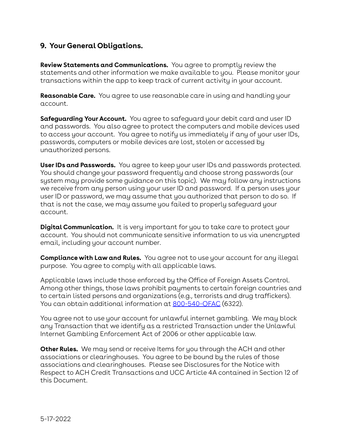# **9. Your General Obligations.**

**Review Statements and Communications.** You agree to promptly review the statements and other information we make available to you. Please monitor your transactions within the app to keep track of current activity in your account.

**Reasonable Care.** You agree to use reasonable care in using and handling your account.

**Safeguarding Your Account.** You agree to safeguard your debit card and user ID and passwords. You also agree to protect the computers and mobile devices used to access your account. You agree to notify us immediately if any of your user IDs, passwords, computers or mobile devices are lost, stolen or accessed by unauthorized persons.

**User IDs and Passwords.** You agree to keep your user IDs and passwords protected. You should change your password frequently and choose strong passwords (our system may provide some guidance on this topic). We may follow any instructions we receive from any person using your user ID and password. If a person uses your user ID or password, we may assume that you authorized that person to do so. If that is not the case, we may assume you failed to properly safeguard your account.

**Digital Communication.** It is very important for you to take care to protect your account. You should not communicate sensitive information to us via unencrypted email, including your account number.

**Compliance with Law and Rules.** You agree not to use your account for any illegal purpose. You agree to comply with all applicable laws.

Applicable laws include those enforced by the Office of Foreign Assets Control. Among other things, those laws prohibit payments to certain foreign countries and to certain listed persons and organizations (e.g., terrorists and drug traffickers). You can obtain additional information at [800-540-OFAC](tel:800-540-OFAC) (6322).

You agree not to use your account for unlawful internet gambling. We may block any Transaction that we identify as a restricted Transaction under the Unlawful Internet Gambling Enforcement Act of 2006 or other applicable law.

**Other Rules.** We may send or receive Items for you through the ACH and other associations or clearinghouses. You agree to be bound by the rules of those associations and clearinghouses. Please see Disclosures for the Notice with Respect to ACH Credit Transactions and UCC Article 4A contained in Section 12 of this Document.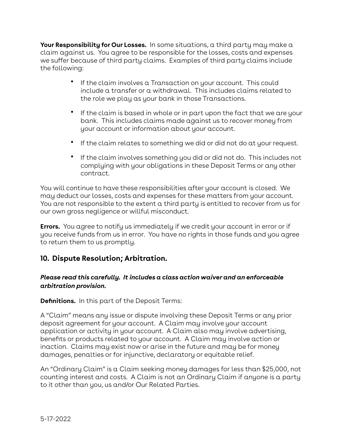**Your Responsibility for Our Losses.** In some situations, a third party may make a claim against us. You agree to be responsible for the losses, costs and expenses we suffer because of third party claims. Examples of third party claims include the following:

- If the claim involves a Transaction on your account. This could include a transfer or a withdrawal. This includes claims related to the role we play as your bank in those Transactions.
- If the claim is based in whole or in part upon the fact that we are your bank. This includes claims made against us to recover money from your account or information about your account.
- If the claim relates to something we did or did not do at your request.
- If the claim involves something you did or did not do. This includes not complying with your obligations in these Deposit Terms or any other contract.

You will continue to have these responsibilities after your account is closed. We may deduct our losses, costs and expenses for these matters from your account. You are not responsible to the extent a third party is entitled to recover from us for our own gross negligence or willful misconduct.

**Errors.** You agree to notify us immediately if we credit your account in error or if you receive funds from us in error. You have no rights in those funds and you agree to return them to us promptly.

## **10. Dispute Resolution; Arbitration.**

#### *Please read this carefully. It includes a class action waiver and an enforceable arbitration provision.*

**Definitions.** In this part of the Deposit Terms:

A "Claim" means any issue or dispute involving these Deposit Terms or any prior deposit agreement for your account. A Claim may involve your account application or activity in your account. A Claim also may involve advertising, benefits or products related to your account. A Claim may involve action or inaction. Claims may exist now or arise in the future and may be for money damages, penalties or for injunctive, declaratory or equitable relief.

An "Ordinary Claim" is a Claim seeking money damages for less than \$25,000, not counting interest and costs. A Claim is not an Ordinary Claim if anyone is a party to it other than you, us and/or Our Related Parties.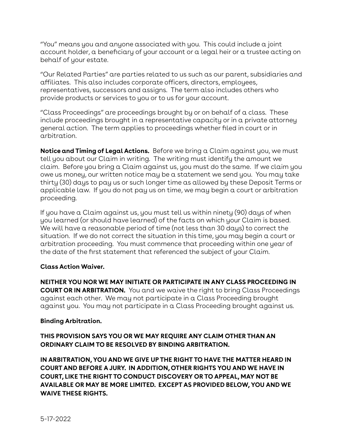"You" means you and anyone associated with you. This could include a joint account holder, a beneficiary of your account or a legal heir or a trustee acting on behalf of your estate.

"Our Related Parties" are parties related to us such as our parent, subsidiaries and affiliates. This also includes corporate officers, directors, employees, representatives, successors and assigns. The term also includes others who provide products or services to you or to us for your account.

"Class Proceedings" are proceedings brought by or on behalf of a class. These include proceedings brought in a representative capacity or in a private attorney general action. The term applies to proceedings whether filed in court or in arbitration.

**Notice and Timing of Legal Actions.** Before we bring a Claim against you, we must tell you about our Claim in writing. The writing must identify the amount we claim. Before you bring a Claim against us, you must do the same. If we claim you owe us money, our written notice may be a statement we send you. You may take thirty (30) days to pay us or such longer time as allowed by these Deposit Terms or applicable law. If you do not pay us on time, we may begin a court or arbitration proceeding.

If you have a Claim against us, you must tell us within ninety (90) days of when you learned (or should have learned) of the facts on which your Claim is based. We will have a reasonable period of time (not less than 30 days) to correct the situation. If we do not correct the situation in this time, you may begin a court or arbitration proceeding. You must commence that proceeding within one year of the date of the first statement that referenced the subject of your Claim.

#### **Class Action Waiver.**

**NEITHER YOU NOR WE MAY INITIATE OR PARTICIPATE IN ANY CLASS PROCEEDING IN COURT OR IN ARBITRATION.** You and we waive the right to bring Class Proceedings against each other. We may not participate in a Class Proceeding brought against you. You may not participate in a Class Proceeding brought against us.

#### **Binding Arbitration.**

#### **THIS PROVISION SAYS YOU OR WE MAY REQUIRE ANY CLAIM OTHER THAN AN ORDINARY CLAIM TO BE RESOLVED BY BINDING ARBITRATION.**

**IN ARBITRATION, YOU AND WE GIVE UP THE RIGHT TO HAVE THE MATTER HEARD IN COURT AND BEFORE A JURY. IN ADDITION, OTHER RIGHTS YOU AND WE HAVE IN COURT, LIKE THE RIGHT TO CONDUCT DISCOVERY OR TO APPEAL, MAY NOT BE AVAILABLE OR MAY BE MORE LIMITED. EXCEPT AS PROVIDED BELOW, YOU AND WE WAIVE THESE RIGHTS.**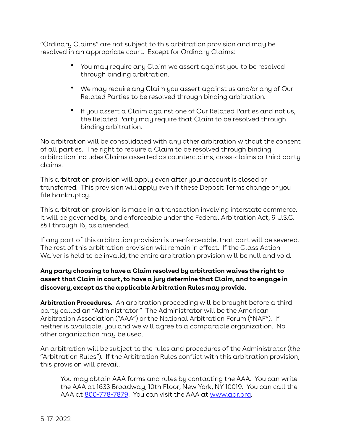"Ordinary Claims" are not subject to this arbitration provision and may be resolved in an appropriate court. Except for Ordinary Claims:

- You may require any Claim we assert against you to be resolved through binding arbitration.
- We may require any Claim you assert against us and/or any of Our Related Parties to be resolved through binding arbitration.
- If you assert a Claim against one of Our Related Parties and not us, the Related Party may require that Claim to be resolved through binding arbitration.

No arbitration will be consolidated with any other arbitration without the consent of all parties. The right to require a Claim to be resolved through binding arbitration includes Claims asserted as counterclaims, cross-claims or third party claims.

This arbitration provision will apply even after your account is closed or transferred. This provision will apply even if these Deposit Terms change or you file bankruptcy.

This arbitration provision is made in a transaction involving interstate commerce. It will be governed by and enforceable under the Federal Arbitration Act, 9 U.S.C. §§ 1 through 16, as amended.

If any part of this arbitration provision is unenforceable, that part will be severed. The rest of this arbitration provision will remain in effect. If the Class Action Waiver is held to be invalid, the entire arbitration provision will be null and void.

#### **Any party choosing to have a Claim resolved by arbitration waives the right to assert that Claim in court, to have a jury determine that Claim, and to engage in discovery, except as the applicable Arbitration Rules may provide.**

**Arbitration Procedures.** An arbitration proceeding will be brought before a third party called an "Administrator." The Administrator will be the American Arbitration Association ("AAA") or the National Arbitration Forum ("NAF"). If neither is available, you and we will agree to a comparable organization. No other organization may be used.

An arbitration will be subject to the rules and procedures of the Administrator (the "Arbitration Rules"). If the Arbitration Rules conflict with this arbitration provision, this provision will prevail.

You may obtain AAA forms and rules by contacting the AAA. You can write the AAA at 1633 Broadway, 10th Floor, New York, NY 10019. You can call the AAA at [800-778-7879](tel:800-778-7879). You can visit the AAA at [www.adr.org.](http://www.adr.org)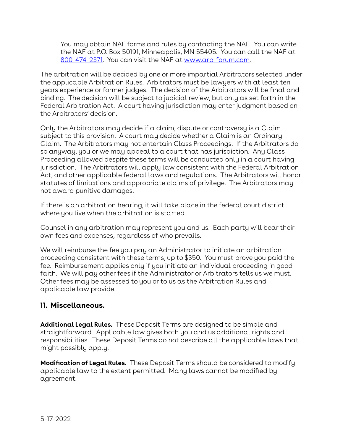You may obtain NAF forms and rules by contacting the NAF. You can write the NAF at P.O. Box 50191, Minneapolis, MN 55405. You can call the NAF at [800-474-2371](tel:800-474-2371). You can visit the NAF at [www.arb-forum.com.](http://www.arb-forum.com)

The arbitration will be decided by one or more impartial Arbitrators selected under the applicable Arbitration Rules. Arbitrators must be lawyers with at least ten years experience or former judges. The decision of the Arbitrators will be final and binding. The decision will be subject to judicial review, but only as set forth in the Federal Arbitration Act. A court having jurisdiction may enter judgment based on the Arbitrators' decision.

Only the Arbitrators may decide if a claim, dispute or controversy is a Claim subject to this provision. A court may decide whether a Claim is an Ordinary Claim. The Arbitrators may not entertain Class Proceedings. If the Arbitrators do so anyway, you or we may appeal to a court that has jurisdiction. Any Class Proceeding allowed despite these terms will be conducted only in a court having jurisdiction. The Arbitrators will apply law consistent with the Federal Arbitration Act, and other applicable federal laws and regulations. The Arbitrators will honor statutes of limitations and appropriate claims of privilege. The Arbitrators may not award punitive damages.

If there is an arbitration hearing, it will take place in the federal court district where you live when the arbitration is started.

Counsel in any arbitration may represent you and us. Each party will bear their own fees and expenses, regardless of who prevails.

We will reimburse the fee you pay an Administrator to initiate an arbitration proceeding consistent with these terms, up to \$350. You must prove you paid the fee. Reimbursement applies only if you initiate an individual proceeding in good faith. We will pay other fees if the Administrator or Arbitrators tells us we must. Other fees may be assessed to you or to us as the Arbitration Rules and applicable law provide.

# **11. Miscellaneous.**

**Additional Legal Rules.** These Deposit Terms are designed to be simple and straightforward. Applicable law gives both you and us additional rights and responsibilities. These Deposit Terms do not describe all the applicable laws that might possibly apply.

**Modification of Legal Rules.** These Deposit Terms should be considered to modify applicable law to the extent permitted. Many laws cannot be modified by agreement.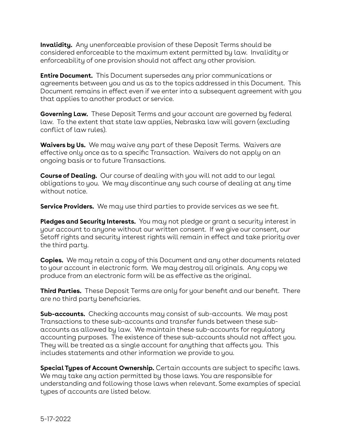**Invalidity.** Any unenforceable provision of these Deposit Terms should be considered enforceable to the maximum extent permitted by law. Invalidity or enforceability of one provision should not affect any other provision.

**Entire Document.** This Document supersedes any prior communications or agreements between you and us as to the topics addressed in this Document. This Document remains in effect even if we enter into a subsequent agreement with you that applies to another product or service.

**Governing Law.** These Deposit Terms and your account are governed by federal law. To the extent that state law applies, Nebraska law will govern (excluding conflict of law rules).

**Waivers by Us.** We may waive any part of these Deposit Terms. Waivers are effective only once as to a specific Transaction. Waivers do not apply on an ongoing basis or to future Transactions.

**Course of Dealing.** Our course of dealing with you will not add to our legal obligations to you. We may discontinue any such course of dealing at any time without notice.

**Service Providers.** We may use third parties to provide services as we see fit.

**Pledges and Security Interests.** You may not pledge or grant a security interest in your account to anyone without our written consent. If we give our consent, our Setoff rights and security interest rights will remain in effect and take priority over the third party.

**Copies.** We may retain a copy of this Document and any other documents related to your account in electronic form. We may destroy all originals. Any copy we produce from an electronic form will be as effective as the original.

**Third Parties.** These Deposit Terms are only for your benefit and our benefit. There are no third party beneficiaries.

**Sub-accounts.** Checking accounts may consist of sub-accounts. We may post Transactions to these sub-accounts and transfer funds between these subaccounts as allowed by law. We maintain these sub-accounts for regulatory accounting purposes. The existence of these sub-accounts should not affect you. They will be treated as a single account for anything that affects you. This includes statements and other information we provide to you.

**Special Types of Account Ownership.** Certain accounts are subject to specific laws. We may take any action permitted by those laws. You are responsible for understanding and following those laws when relevant. Some examples of special types of accounts are listed below.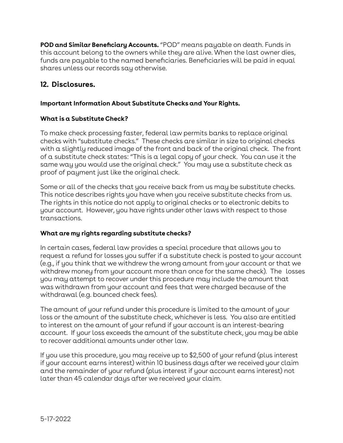**POD and Similar Beneficiary Accounts.** "POD" means payable on death. Funds in this account belong to the owners while they are alive. When the last owner dies, funds are payable to the named beneficiaries. Beneficiaries will be paid in equal shares unless our records say otherwise.

# **12. Disclosures.**

#### **Important Information About Substitute Checks and Your Rights.**

#### **What is a Substitute Check?**

To make check processing faster, federal law permits banks to replace original checks with "substitute checks." These checks are similar in size to original checks with a slightly reduced image of the front and back of the original check. The front of a substitute check states: "This is a legal copy of your check. You can use it the same way you would use the original check." You may use a substitute check as proof of payment just like the original check.

Some or all of the checks that you receive back from us may be substitute checks. This notice describes rights you have when you receive substitute checks from us. The rights in this notice do not apply to original checks or to electronic debits to your account. However, you have rights under other laws with respect to those transactions.

#### **What are my rights regarding substitute checks?**

In certain cases, federal law provides a special procedure that allows you to request a refund for losses you suffer if a substitute check is posted to your account (e.g., if you think that we withdrew the wrong amount from your account or that we withdrew money from your account more than once for the same check). The losses you may attempt to recover under this procedure may include the amount that was withdrawn from your account and fees that were charged because of the withdrawal (e.g. bounced check fees).

The amount of your refund under this procedure is limited to the amount of your loss or the amount of the substitute check, whichever is less. You also are entitled to interest on the amount of your refund if your account is an interest-bearing account. If your loss exceeds the amount of the substitute check, you may be able to recover additional amounts under other law.

If you use this procedure, you may receive up to \$2,500 of your refund (plus interest if your account earns interest) within 10 business days after we received your claim and the remainder of your refund (plus interest if your account earns interest) not later than 45 calendar days after we received your claim.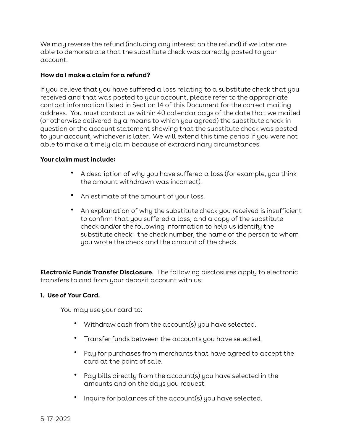We may reverse the refund (including any interest on the refund) if we later are able to demonstrate that the substitute check was correctly posted to your account.

#### **How do I make a claim for a refund?**

If you believe that you have suffered a loss relating to a substitute check that you received and that was posted to your account, please refer to the appropriate contact information listed in Section 14 of this Document for the correct mailing address. You must contact us within 40 calendar days of the date that we mailed (or otherwise delivered by a means to which you agreed) the substitute check in question or the account statement showing that the substitute check was posted to your account, whichever is later. We will extend this time period if you were not able to make a timely claim because of extraordinary circumstances.

#### **Your claim must include:**

- A description of why you have suffered a loss (for example, you think the amount withdrawn was incorrect).
- An estimate of the amount of your loss.
- An explanation of why the substitute check you received is insufficient to confirm that you suffered a loss; and a copy of the substitute check and/or the following information to help us identify the substitute check: the check number, the name of the person to whom you wrote the check and the amount of the check.

**Electronic Funds Transfer Disclosure**. The following disclosures apply to electronic transfers to and from your deposit account with us:

#### **1. Use of Your Card.**

You may use your card to:

- Withdraw cash from the account(s) you have selected.
- Transfer funds between the accounts you have selected.
- Pay for purchases from merchants that have agreed to accept the card at the point of sale.
- Pay bills directly from the account(s) you have selected in the amounts and on the days you request.
- Inquire for balances of the account(s) you have selected.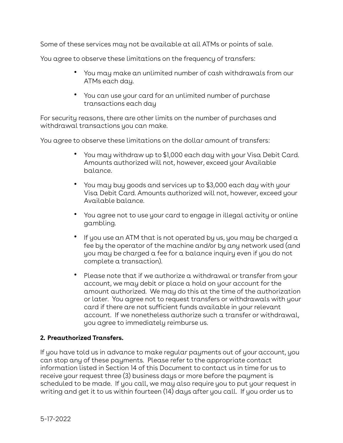Some of these services may not be available at all ATMs or points of sale.

You agree to observe these limitations on the frequency of transfers:

- You may make an unlimited number of cash withdrawals from our ATMs each day.
- You can use your card for an unlimited number of purchase transactions each day

For security reasons, there are other limits on the number of purchases and withdrawal transactions you can make.

You agree to observe these limitations on the dollar amount of transfers:

- You may withdraw up to \$1,000 each day with your Visa Debit Card. Amounts authorized will not, however, exceed your Available balance.
- You may buy goods and services up to \$3,000 each day with your Visa Debit Card. Amounts authorized will not, however, exceed your Available balance.
- You agree not to use your card to engage in illegal activity or online gambling.
- If you use an ATM that is not operated by us, you may be charged a fee by the operator of the machine and/or by any network used (and you may be charged a fee for a balance inquiry even if you do not complete a transaction).
- Please note that if we authorize a withdrawal or transfer from your account, we may debit or place a hold on your account for the amount authorized. We may do this at the time of the authorization or later. You agree not to request transfers or withdrawals with your card if there are not sufficient funds available in your relevant account. If we nonetheless authorize such a transfer or withdrawal, you agree to immediately reimburse us.

#### **2. Preauthorized Transfers.**

If you have told us in advance to make regular payments out of your account, you can stop any of these payments. Please refer to the appropriate contact information listed in Section 14 of this Document to contact us in time for us to receive your request three (3) business days or more before the payment is scheduled to be made. If you call, we may also require you to put your request in writing and get it to us within fourteen (14) days after you call. If you order us to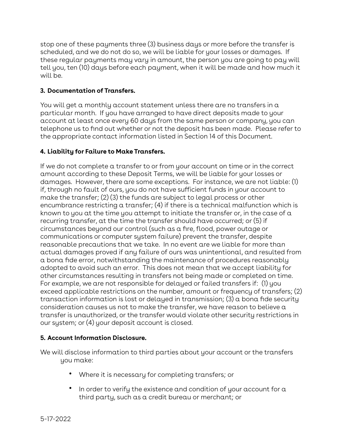stop one of these payments three (3) business days or more before the transfer is scheduled, and we do not do so, we will be liable for your losses or damages. If these regular payments may vary in amount, the person you are going to pay will tell you, ten (10) days before each payment, when it will be made and how much it will be.

#### **3. Documentation of Transfers.**

You will get a monthly account statement unless there are no transfers in a particular month. If you have arranged to have direct deposits made to your account at least once every 60 days from the same person or company, you can telephone us to find out whether or not the deposit has been made. Please refer to the appropriate contact information listed in Section 14 of this Document.

#### **4. Liability for Failure to Make Transfers.**

If we do not complete a transfer to or from your account on time or in the correct amount according to these Deposit Terms, we will be liable for your losses or damages. However, there are some exceptions. For instance, we are not liable: (1) if, through no fault of ours, you do not have sufficient funds in your account to make the transfer; (2) (3) the funds are subject to legal process or other encumbrance restricting a transfer;  $(4)$  if there is a technical malfunction which is known to you at the time you attempt to initiate the transfer or, in the case of  $\alpha$ recurring transfer, at the time the transfer should have occurred; or (5) if circumstances beyond our control (such as a fire, flood, power outage or communications or computer system failure) prevent the transfer, despite reasonable precautions that we take. In no event are we liable for more than actual damages proved if any failure of ours was unintentional, and resulted from a bona fide error, notwithstanding the maintenance of procedures reasonably adopted to avoid such an error. This does not mean that we accept liability for other circumstances resulting in transfers not being made or completed on time. For example, we are not responsible for delayed or failed transfers if: (1) you exceed applicable restrictions on the number, amount or frequency of transfers; (2) transaction information is lost or delayed in transmission; (3) a bona fide security consideration causes us not to make the transfer, we have reason to believe a transfer is unauthorized, or the transfer would violate other security restrictions in our system; or (4) your deposit account is closed.

#### **5. Account Information Disclosure.**

We will disclose information to third parties about your account or the transfers you make:

- Where it is necessary for completing transfers; or
- In order to verify the existence and condition of your account for a third party, such as a credit bureau or merchant; or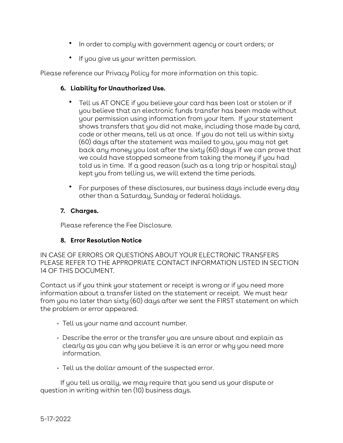- In order to comply with government agency or court orders; or
- If you give us your written permission.

Please reference our Privacy Policy for more information on this topic.

#### **6. Liability for Unauthorized Use.**

- Tell us AT ONCE if you believe your card has been lost or stolen or if you believe that an electronic funds transfer has been made without your permission using information from your Item. If your statement shows transfers that you did not make, including those made by card, code or other means, tell us at once. If you do not tell us within sixty (60) days after the statement was mailed to you, you may not get back any money you lost after the sixty (60) days if we can prove that we could have stopped someone from taking the money if you had told us in time. If a good reason (such as a long trip or hospital stay) kept you from telling us, we will extend the time periods.
- For purposes of these disclosures, our business days include every day other than a Saturday, Sunday or federal holidays.

#### **7. Charges.**

Please reference the Fee Disclosure.

#### **8. Error Resolution Notice**

IN CASE OF ERRORS OR QUESTIONS ABOUT YOUR ELECTRONIC TRANSFERS PLEASE REFER TO THE APPROPRIATE CONTACT INFORMATION LISTED IN SECTION 14 OF THIS DOCUMENT.

Contact us if you think your statement or receipt is wrong or if you need more information about a transfer listed on the statement or receipt. We must hear from you no later than sixty (60) days after we sent the FIRST statement on which the problem or error appeared.

- Tell us your name and account number.
- Describe the error or the transfer you are unsure about and explain as clearly as you can why you believe it is an error or why you need more information.
- Tell us the dollar amount of the suspected error.

If you tell us orally, we may require that you send us your dispute or question in writing within ten (10) business days.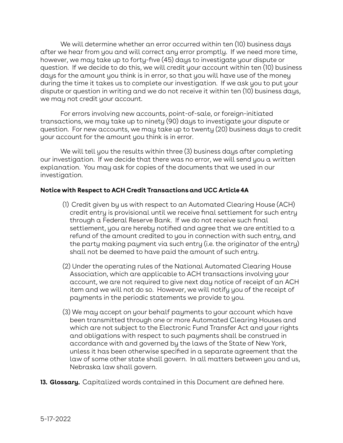We will determine whether an error occurred within ten (10) business days after we hear from you and will correct any error promptly. If we need more time, however, we may take up to forty-five (45) days to investigate your dispute or question. If we decide to do this, we will credit your account within ten (10) business days for the amount you think is in error, so that you will have use of the money during the time it takes us to complete our investigation. If we ask you to put your dispute or question in writing and we do not receive it within ten (10) business days, we may not credit your account.

For errors involving new accounts, point-of-sale, or foreign-initiated transactions, we may take up to ninety (90) days to investigate your dispute or question. For new accounts, we may take up to twenty (20) business days to credit your account for the amount you think is in error.

We will tell you the results within three (3) business days after completing our investigation. If we decide that there was no error, we will send you a written explanation. You may ask for copies of the documents that we used in our investigation.

#### **Notice with Respect to ACH Credit Transactions and UCC Article 4A**

- (1) Credit given by us with respect to an Automated Clearing House (ACH) credit entry is provisional until we receive final settlement for such entry through a Federal Reserve Bank. If we do not receive such final settlement, you are hereby notified and agree that we are entitled to a refund of the amount credited to you in connection with such entry, and the party making payment via such entry (i.e. the originator of the entry) shall not be deemed to have paid the amount of such entry.
- (2) Under the operating rules of the National Automated Clearing House Association, which are applicable to ACH transactions involving your account, we are not required to give next day notice of receipt of an ACH item and we will not do so. However, we will notify you of the receipt of payments in the periodic statements we provide to you.
- (3) We may accept on your behalf payments to your account which have been transmitted through one or more Automated Clearing Houses and which are not subject to the Electronic Fund Transfer Act and your rights and obligations with respect to such payments shall be construed in accordance with and governed by the laws of the State of New York, unless it has been otherwise specified in a separate agreement that the law of some other state shall govern. In all matters between you and us, Nebraska law shall govern.
- **13. Glossary.** Capitalized words contained in this Document are defined here.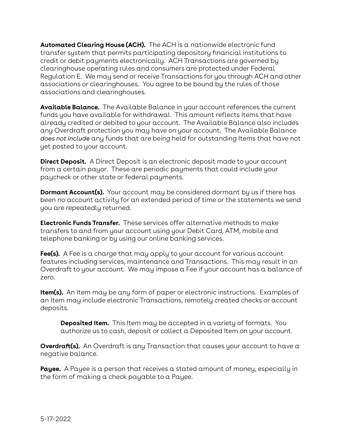**Automated Clearing House (ACH).** The ACH is a nationwide electronic fund transfer system that permits participating depository financial institutions to credit or debit payments electronically. ACH Transactions are governed by clearinghouse operating rules and consumers are protected under Federal Regulation E. We may send or receive Transactions for you through ACH and other associations or clearinghouses. You agree to be bound by the rules of those associations and clearinghouses.

**Available Balance.** The Available Balance in your account references the current funds you have available for withdrawal. This amount reflects Items that have already credited or debited to your account. The Available Balance also includes any Overdraft protection you may have on your account. The Available Balance *does not include* any funds that are being held for outstanding Items that have not yet posted to your account.

**Direct Deposit.** A Direct Deposit is an electronic deposit made to your account from a certain payor. These are periodic payments that could include your paycheck or other state or federal payments.

**Dormant Account(s).** Your account may be considered dormant by us if there has been no account activity for an extended period of time or the statements we send you are repeatedly returned.

**Electronic Funds Transfer.** These services offer alternative methods to make transfers to and from your account using your Debit Card, ATM, mobile and telephone banking or by using our online banking services.

**Fee(s).** A Fee is a charge that may apply to your account for various account features including services, maintenance and Transactions. This may result in an Overdraft to your account. We may impose a Fee if your account has a balance of zero.

**Item(s).** An Item may be any form of paper or electronic instructions. Examples of an Item may include electronic Transactions, remotely created checks or account deposits.

**Deposited Item.** This Item may be accepted in a variety of formats. You authorize us to cash, deposit or collect a Deposited Item on your account.

**Overdraft(s).** An Overdraft is any Transaction that causes your account to have a negative balance.

**Payee.** A Payee is a person that receives a stated amount of money, especially in the form of making a check payable to a Payee.